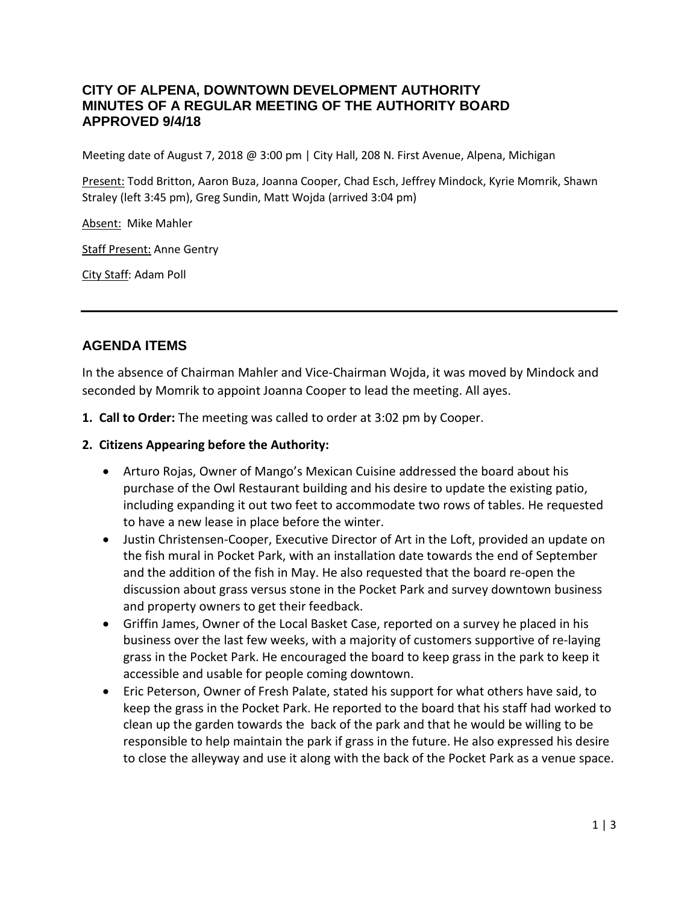#### **CITY OF ALPENA, DOWNTOWN DEVELOPMENT AUTHORITY MINUTES OF A REGULAR MEETING OF THE AUTHORITY BOARD APPROVED 9/4/18**

Meeting date of August 7, 2018 @ 3:00 pm | City Hall, 208 N. First Avenue, Alpena, Michigan

Present: Todd Britton, Aaron Buza, Joanna Cooper, Chad Esch, Jeffrey Mindock, Kyrie Momrik, Shawn Straley (left 3:45 pm), Greg Sundin, Matt Wojda (arrived 3:04 pm)

Absent: Mike Mahler

Staff Present: Anne Gentry

City Staff: Adam Poll

# **AGENDA ITEMS**

In the absence of Chairman Mahler and Vice-Chairman Wojda, it was moved by Mindock and seconded by Momrik to appoint Joanna Cooper to lead the meeting. All ayes.

- **1. Call to Order:** The meeting was called to order at 3:02 pm by Cooper.
- **2. Citizens Appearing before the Authority:**
	- Arturo Rojas, Owner of Mango's Mexican Cuisine addressed the board about his purchase of the Owl Restaurant building and his desire to update the existing patio, including expanding it out two feet to accommodate two rows of tables. He requested to have a new lease in place before the winter.
	- Justin Christensen-Cooper, Executive Director of Art in the Loft, provided an update on the fish mural in Pocket Park, with an installation date towards the end of September and the addition of the fish in May. He also requested that the board re-open the discussion about grass versus stone in the Pocket Park and survey downtown business and property owners to get their feedback.
	- Griffin James, Owner of the Local Basket Case, reported on a survey he placed in his business over the last few weeks, with a majority of customers supportive of re-laying grass in the Pocket Park. He encouraged the board to keep grass in the park to keep it accessible and usable for people coming downtown.
	- Eric Peterson, Owner of Fresh Palate, stated his support for what others have said, to keep the grass in the Pocket Park. He reported to the board that his staff had worked to clean up the garden towards the back of the park and that he would be willing to be responsible to help maintain the park if grass in the future. He also expressed his desire to close the alleyway and use it along with the back of the Pocket Park as a venue space.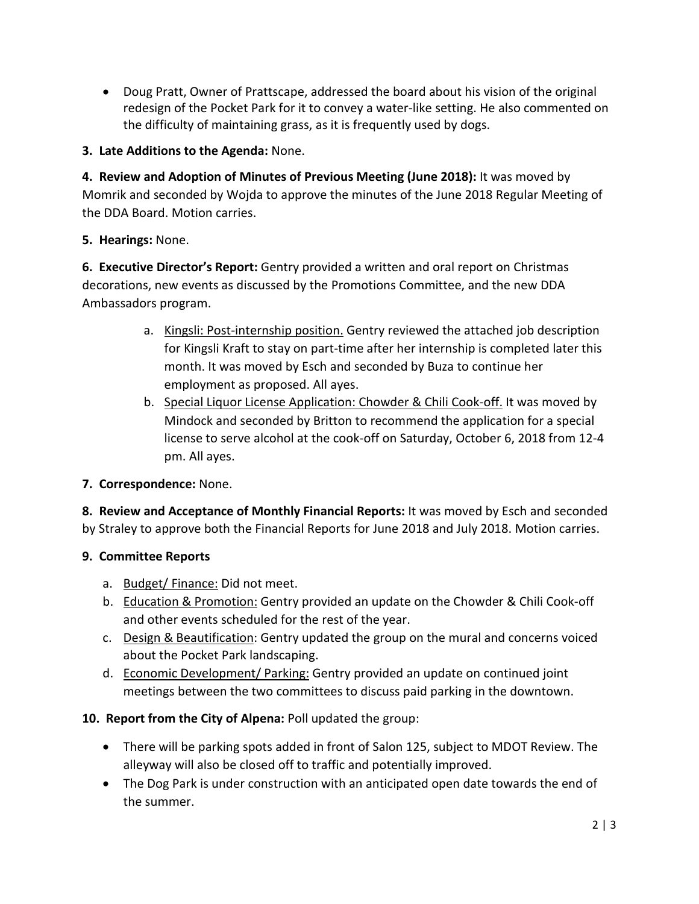• Doug Pratt, Owner of Prattscape, addressed the board about his vision of the original redesign of the Pocket Park for it to convey a water-like setting. He also commented on the difficulty of maintaining grass, as it is frequently used by dogs.

### **3. Late Additions to the Agenda:** None.

**4. Review and Adoption of Minutes of Previous Meeting (June 2018):** It was moved by Momrik and seconded by Wojda to approve the minutes of the June 2018 Regular Meeting of the DDA Board. Motion carries.

#### **5. Hearings:** None.

**6. Executive Director's Report:** Gentry provided a written and oral report on Christmas decorations, new events as discussed by the Promotions Committee, and the new DDA Ambassadors program.

- a. Kingsli: Post-internship position. Gentry reviewed the attached job description for Kingsli Kraft to stay on part-time after her internship is completed later this month. It was moved by Esch and seconded by Buza to continue her employment as proposed. All ayes.
- b. Special Liquor License Application: Chowder & Chili Cook-off. It was moved by Mindock and seconded by Britton to recommend the application for a special license to serve alcohol at the cook-off on Saturday, October 6, 2018 from 12-4 pm. All ayes.

## **7. Correspondence:** None.

**8. Review and Acceptance of Monthly Financial Reports:** It was moved by Esch and seconded by Straley to approve both the Financial Reports for June 2018 and July 2018. Motion carries.

## **9. Committee Reports**

- a. Budget/Finance: Did not meet.
- b. Education & Promotion: Gentry provided an update on the Chowder & Chili Cook-off and other events scheduled for the rest of the year.
- c. Design & Beautification: Gentry updated the group on the mural and concerns voiced about the Pocket Park landscaping.
- d. Economic Development/ Parking: Gentry provided an update on continued joint meetings between the two committees to discuss paid parking in the downtown.

## **10. Report from the City of Alpena:** Poll updated the group:

- There will be parking spots added in front of Salon 125, subject to MDOT Review. The alleyway will also be closed off to traffic and potentially improved.
- The Dog Park is under construction with an anticipated open date towards the end of the summer.